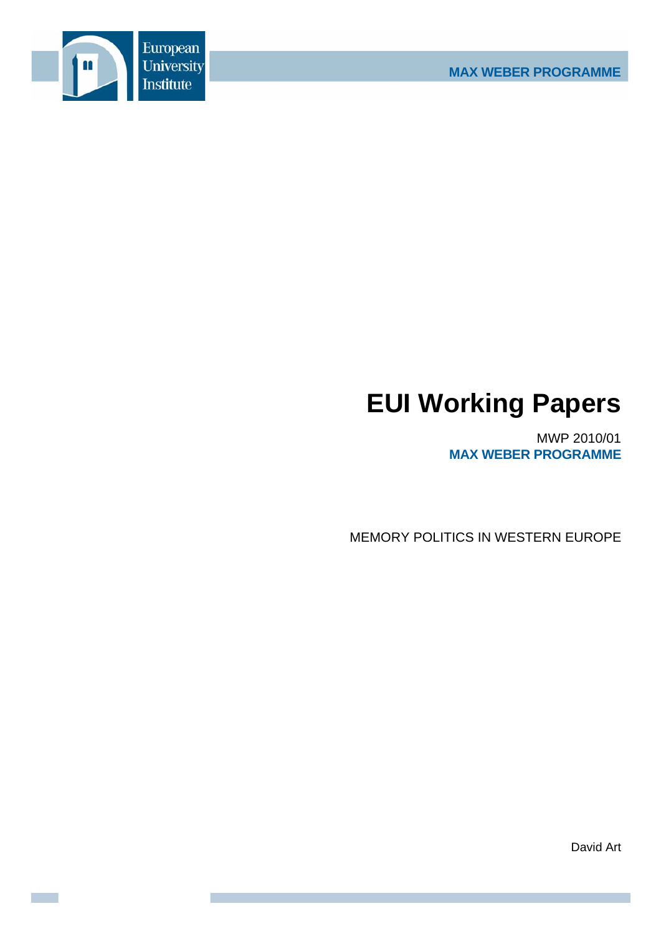

# **EUI Working Papers**

MWP 2010/01 **MAX WEBER PROGRAMME**

MEMORY POLITICS IN WESTERN EUROPE

David Art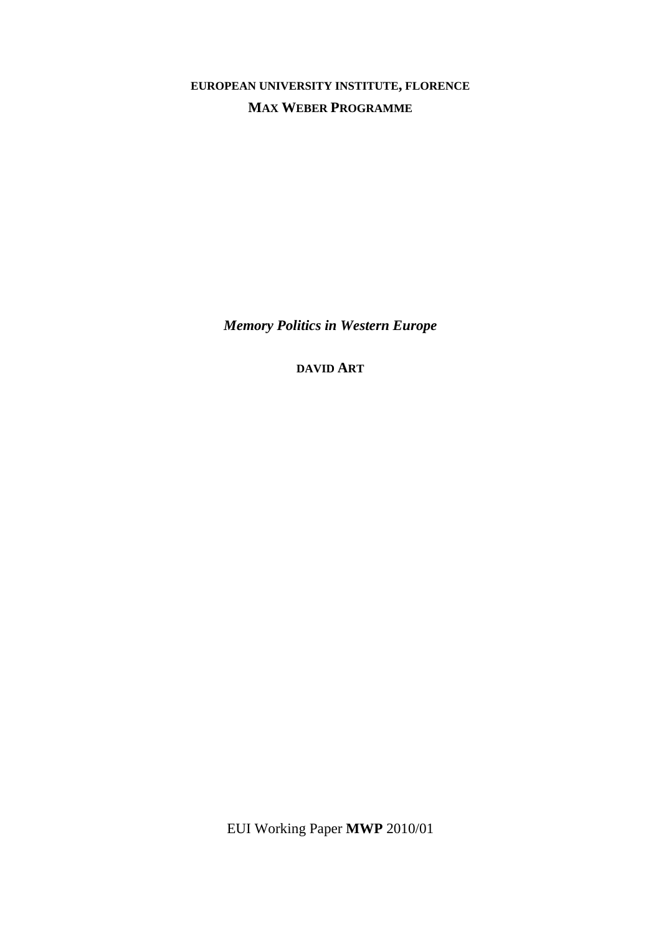**EUROPEAN UNIVERSITY INSTITUTE, FLORENCE MAX WEBER PROGRAMME**

*Memory Politics in Western Europe* 

**DAVID ART**

EUI Working Paper **MWP** 2010/01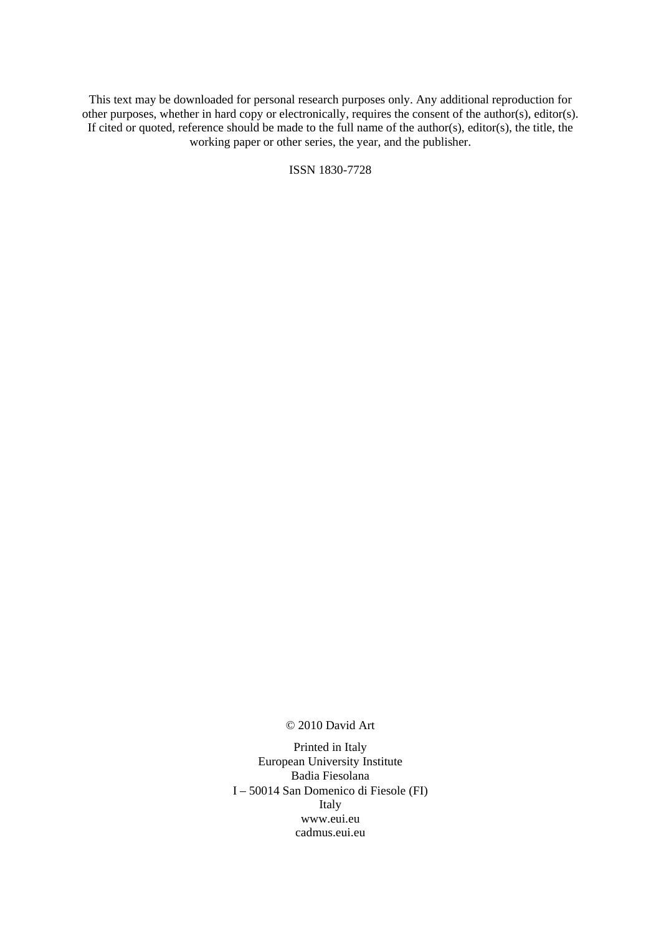This text may be downloaded for personal research purposes only. Any additional reproduction for other purposes, whether in hard copy or electronically, requires the consent of the author(s), editor(s). If cited or quoted, reference should be made to the full name of the author(s), editor(s), the title, the working paper or other series, the year, and the publisher.

ISSN 1830-7728

© 2010 David Art

Printed in Italy European University Institute Badia Fiesolana I – 50014 San Domenico di Fiesole (FI) Italy [www.eui.eu](http://www.eui.eu/)  [cadmus.eui.eu](http://cadmus.eui.eu/dspace/index.jsp)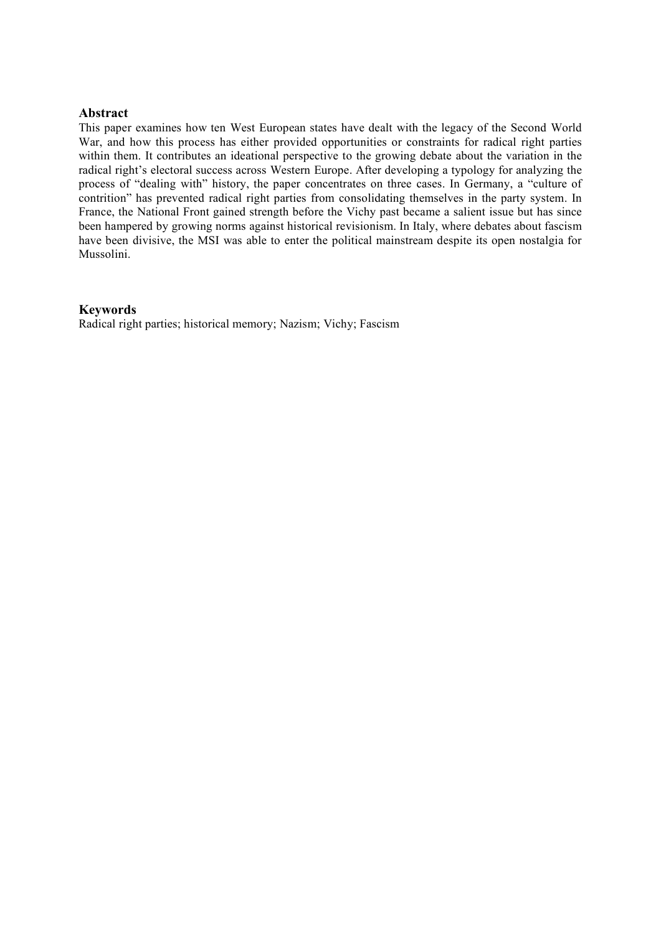# **Abstract**

This paper examines how ten West European states have dealt with the legacy of the Second World War, and how this process has either provided opportunities or constraints for radical right parties within them. It contributes an ideational perspective to the growing debate about the variation in the radical right's electoral success across Western Europe. After developing a typology for analyzing the process of "dealing with" history, the paper concentrates on three cases. In Germany, a "culture of contrition" has prevented radical right parties from consolidating themselves in the party system. In France, the National Front gained strength before the Vichy past became a salient issue but has since been hampered by growing norms against historical revisionism. In Italy, where debates about fascism have been divisive, the MSI was able to enter the political mainstream despite its open nostalgia for Mussolini.

# **Keywords**

Radical right parties; historical memory; Nazism; Vichy; Fascism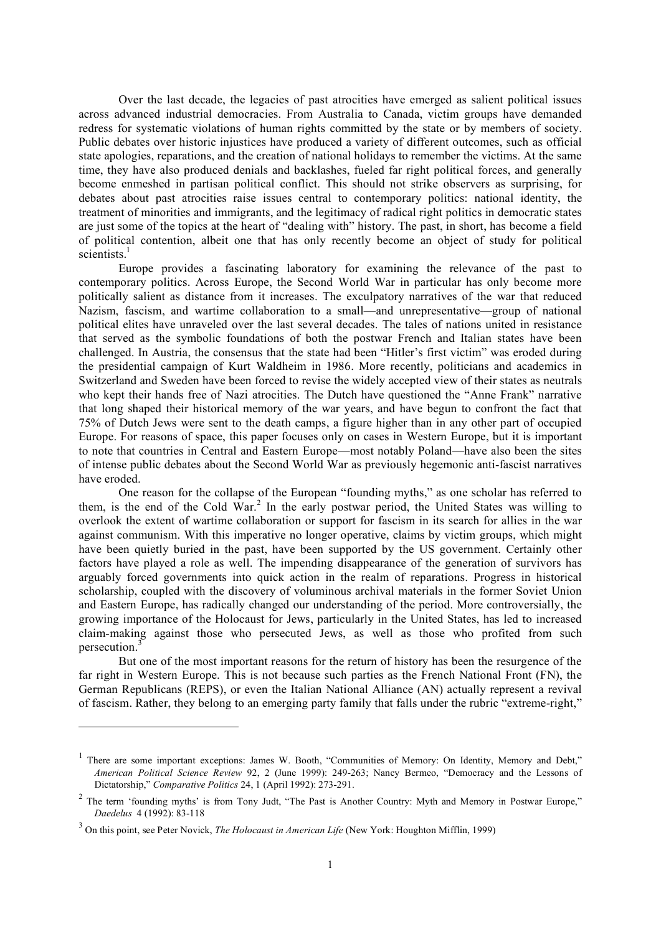Over the last decade, the legacies of past atrocities have emerged as salient political issues across advanced industrial democracies. From Australia to Canada, victim groups have demanded redress for systematic violations of human rights committed by the state or by members of society. Public debates over historic injustices have produced a variety of different outcomes, such as official state apologies, reparations, and the creation of national holidays to remember the victims. At the same time, they have also produced denials and backlashes, fueled far right political forces, and generally become enmeshed in partisan political conflict. This should not strike observers as surprising, for debates about past atrocities raise issues central to contemporary politics: national identity, the treatment of minorities and immigrants, and the legitimacy of radical right politics in democratic states are just some of the topics at the heart of "dealing with" history. The past, in short, has become a field of political contention, albeit one that has only recently become an object of study for political scientists.<sup>1</sup>

Europe provides a fascinating laboratory for examining the relevance of the past to contemporary politics. Across Europe, the Second World War in particular has only become more politically salient as distance from it increases. The exculpatory narratives of the war that reduced Nazism, fascism, and wartime collaboration to a small—and unrepresentative—group of national political elites have unraveled over the last several decades. The tales of nations united in resistance that served as the symbolic foundations of both the postwar French and Italian states have been challenged. In Austria, the consensus that the state had been "Hitler's first victim" was eroded during the presidential campaign of Kurt Waldheim in 1986. More recently, politicians and academics in Switzerland and Sweden have been forced to revise the widely accepted view of their states as neutrals who kept their hands free of Nazi atrocities. The Dutch have questioned the "Anne Frank" narrative that long shaped their historical memory of the war years, and have begun to confront the fact that 75% of Dutch Jews were sent to the death camps, a figure higher than in any other part of occupied Europe. For reasons of space, this paper focuses only on cases in Western Europe, but it is important to note that countries in Central and Eastern Europe—most notably Poland—have also been the sites of intense public debates about the Second World War as previously hegemonic anti-fascist narratives have eroded.

One reason for the collapse of the European "founding myths," as one scholar has referred to them, is the end of the Cold War. <sup>2</sup> In the early postwar period, the United States was willing to overlook the extent of wartime collaboration or support for fascism in its search for allies in the war against communism. With this imperative no longer operative, claims by victim groups, which might have been quietly buried in the past, have been supported by the US government. Certainly other factors have played a role as well. The impending disappearance of the generation of survivors has arguably forced governments into quick action in the realm of reparations. Progress in historical scholarship, coupled with the discovery of voluminous archival materials in the former Soviet Union and Eastern Europe, has radically changed our understanding of the period. More controversially, the growing importance of the Holocaust for Jews, particularly in the United States, has led to increased claim-making against those who persecuted Jews, as well as those who profited from such persecution.<sup>3</sup>

But one of the most important reasons for the return of history has been the resurgence of the far right in Western Europe. This is not because such parties as the French National Front (FN), the German Republicans (REPS), or even the Italian National Alliance (AN) actually represent a revival of fascism. Rather, they belong to an emerging party family that falls under the rubric "extreme-right,"

1

<sup>&</sup>lt;sup>1</sup> There are some important exceptions: James W. Booth, "Communities of Memory: On Identity, Memory and Debt," *American Political Science Review* 92, 2 (June 1999): 249-263; Nancy Bermeo, "Democracy and the Lessons of Dictatorship," *Comparative Politics* 24, 1 (April 1992): 273-291.

<sup>&</sup>lt;sup>2</sup> The term 'founding myths' is from Tony Judt, "The Past is Another Country: Myth and Memory in Postwar Europe," *Daedelus* 4 (1992): 83-118

<sup>3</sup> On this point, see Peter Novick, *The Holocaust in American Life* (New York: Houghton Mifflin, 1999)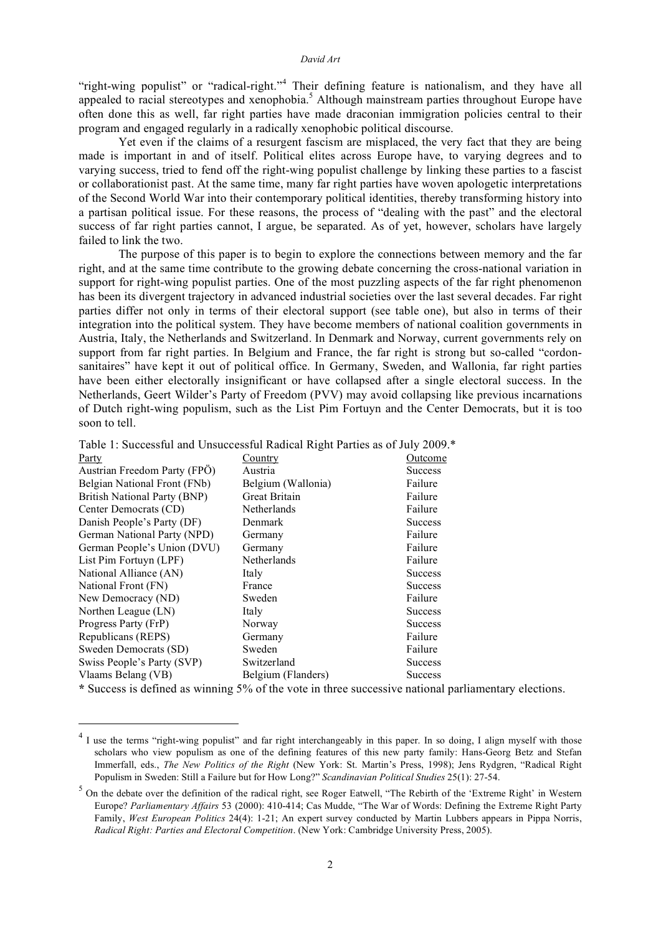"right-wing populist" or "radical-right."<sup>4</sup> Their defining feature is nationalism, and they have all appealed to racial stereotypes and xenophobia.<sup>5</sup> Although mainstream parties throughout Europe have often done this as well, far right parties have made draconian immigration policies central to their program and engaged regularly in a radically xenophobic political discourse.

Yet even if the claims of a resurgent fascism are misplaced, the very fact that they are being made is important in and of itself. Political elites across Europe have, to varying degrees and to varying success, tried to fend off the right-wing populist challenge by linking these parties to a fascist or collaborationist past. At the same time, many far right parties have woven apologetic interpretations of the Second World War into their contemporary political identities, thereby transforming history into a partisan political issue. For these reasons, the process of "dealing with the past" and the electoral success of far right parties cannot, I argue, be separated. As of yet, however, scholars have largely failed to link the two.

The purpose of this paper is to begin to explore the connections between memory and the far right, and at the same time contribute to the growing debate concerning the cross-national variation in support for right-wing populist parties. One of the most puzzling aspects of the far right phenomenon has been its divergent trajectory in advanced industrial societies over the last several decades. Far right parties differ not only in terms of their electoral support (see table one), but also in terms of their integration into the political system. They have become members of national coalition governments in Austria, Italy, the Netherlands and Switzerland. In Denmark and Norway, current governments rely on support from far right parties. In Belgium and France, the far right is strong but so-called "cordonsanitaires" have kept it out of political office. In Germany, Sweden, and Wallonia, far right parties have been either electorally insignificant or have collapsed after a single electoral success. In the Netherlands, Geert Wilder's Party of Freedom (PVV) may avoid collapsing like previous incarnations of Dutch right-wing populism, such as the List Pim Fortuyn and the Center Democrats, but it is too soon to tell.

Table 1: Successful and Unsuccessful Radical Right Parties as of July 2009.\*

| Party                                                                                                                                                                                                                                                                                                                                                                                                                                                                                            | Country            | Outcome                    |
|--------------------------------------------------------------------------------------------------------------------------------------------------------------------------------------------------------------------------------------------------------------------------------------------------------------------------------------------------------------------------------------------------------------------------------------------------------------------------------------------------|--------------------|----------------------------|
| Austrian Freedom Party (FPO)                                                                                                                                                                                                                                                                                                                                                                                                                                                                     | Austria            | <b>Success</b>             |
| Belgian National Front (FNb)                                                                                                                                                                                                                                                                                                                                                                                                                                                                     | Belgium (Wallonia) | Failure                    |
| British National Party (BNP)                                                                                                                                                                                                                                                                                                                                                                                                                                                                     | Great Britain      | Failure                    |
| Center Democrats (CD)                                                                                                                                                                                                                                                                                                                                                                                                                                                                            | Netherlands        | Failure                    |
| Danish People's Party (DF)                                                                                                                                                                                                                                                                                                                                                                                                                                                                       | Denmark            | <b>Success</b>             |
| German National Party (NPD)                                                                                                                                                                                                                                                                                                                                                                                                                                                                      | Germany            | Failure                    |
| German People's Union (DVU)                                                                                                                                                                                                                                                                                                                                                                                                                                                                      | Germany            | Failure                    |
| List Pim Fortuyn (LPF)                                                                                                                                                                                                                                                                                                                                                                                                                                                                           | Netherlands        | Failure                    |
| National Alliance (AN)                                                                                                                                                                                                                                                                                                                                                                                                                                                                           | Italy              | <b>Success</b>             |
| National Front (FN)                                                                                                                                                                                                                                                                                                                                                                                                                                                                              | France             | <b>Success</b>             |
| New Democracy (ND)                                                                                                                                                                                                                                                                                                                                                                                                                                                                               | Sweden             | Failure                    |
| Northen League (LN)                                                                                                                                                                                                                                                                                                                                                                                                                                                                              | Italy              | <b>Success</b>             |
| Progress Party (FrP)                                                                                                                                                                                                                                                                                                                                                                                                                                                                             | Norway             | <b>Success</b>             |
| Republicans (REPS)                                                                                                                                                                                                                                                                                                                                                                                                                                                                               | Germany            | Failure                    |
| Sweden Democrats (SD)                                                                                                                                                                                                                                                                                                                                                                                                                                                                            | Sweden             | Failure                    |
| Swiss People's Party (SVP)                                                                                                                                                                                                                                                                                                                                                                                                                                                                       | Switzerland        | <b>Success</b>             |
| Vlaams Belang (VB)                                                                                                                                                                                                                                                                                                                                                                                                                                                                               | Belgium (Flanders) | <b>Success</b>             |
| $\therefore$ $\therefore$ $\therefore$ $\therefore$ $\therefore$ $\therefore$ $\therefore$ $\therefore$ $\therefore$ $\therefore$ $\therefore$ $\therefore$ $\therefore$ $\therefore$ $\therefore$ $\therefore$ $\therefore$ $\therefore$ $\therefore$ $\therefore$ $\therefore$ $\therefore$ $\therefore$ $\therefore$ $\therefore$ $\therefore$ $\therefore$ $\therefore$ $\therefore$ $\therefore$ $\therefore$ $\therefore$ $\therefore$ $\therefore$ $\therefore$ $\therefore$ $\therefore$ |                    | $\cdots$ $\cdots$ $\cdots$ |

**\*** Success is defined as winning 5% of the vote in three successive national parliamentary elections.

<sup>&</sup>lt;sup>4</sup> I use the terms "right-wing populist" and far right interchangeably in this paper. In so doing, I align myself with those scholars who view populism as one of the defining features of this new party family: Hans-Georg Betz and Stefan Immerfall, eds., *The New Politics of the Right* (New York: St. Martin's Press, 1998); Jens Rydgren, "Radical Right Populism in Sweden: Still a Failure but for How Long?" *Scandinavian Political Studies* 25(1): 27-54.

<sup>&</sup>lt;sup>5</sup> On the debate over the definition of the radical right, see Roger Eatwell, "The Rebirth of the 'Extreme Right' in Western Europe? *Parliamentary Affairs* 53 (2000): 410-414; Cas Mudde, "The War of Words: Defining the Extreme Right Party Family, *West European Politics* 24(4): 1-21; An expert survey conducted by Martin Lubbers appears in Pippa Norris, *Radical Right: Parties and Electoral Competition*. (New York: Cambridge University Press, 2005).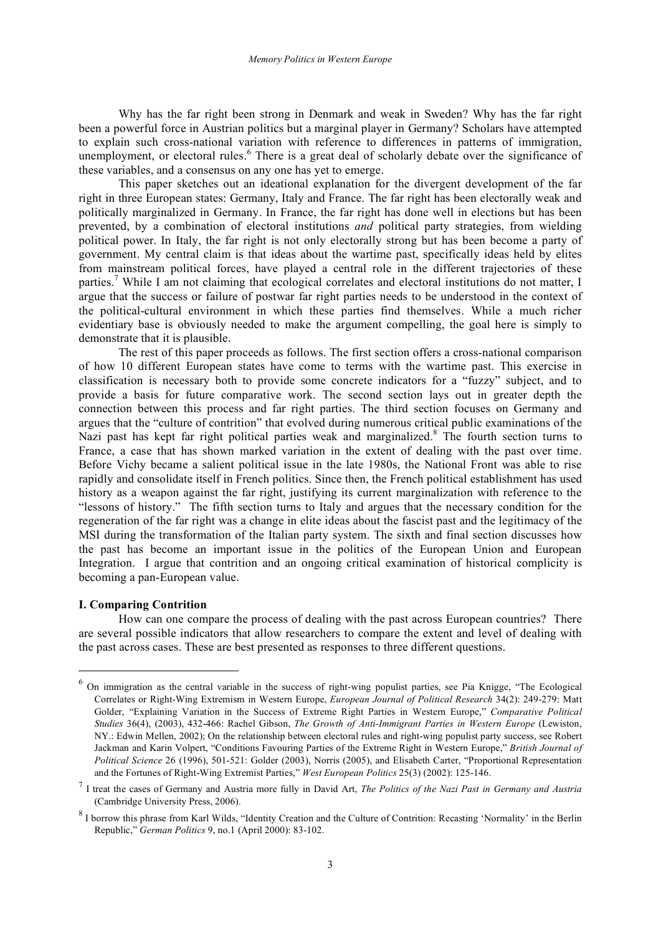Why has the far right been strong in Denmark and weak in Sweden? Why has the far right been a powerful force in Austrian politics but a marginal player in Germany? Scholars have attempted to explain such cross-national variation with reference to differences in patterns of immigration, unemployment, or electoral rules.<sup>6</sup> There is a great deal of scholarly debate over the significance of these variables, and a consensus on any one has yet to emerge.

This paper sketches out an ideational explanation for the divergent development of the far right in three European states: Germany, Italy and France. The far right has been electorally weak and politically marginalized in Germany. In France, the far right has done well in elections but has been prevented, by a combination of electoral institutions *and* political party strategies, from wielding political power. In Italy, the far right is not only electorally strong but has been become a party of government. My central claim is that ideas about the wartime past, specifically ideas held by elites from mainstream political forces, have played a central role in the different trajectories of these parties.<sup>7</sup> While I am not claiming that ecological correlates and electoral institutions do not matter, I argue that the success or failure of postwar far right parties needs to be understood in the context of the political-cultural environment in which these parties find themselves. While a much richer evidentiary base is obviously needed to make the argument compelling, the goal here is simply to demonstrate that it is plausible.

The rest of this paper proceeds as follows. The first section offers a cross-national comparison of how 10 different European states have come to terms with the wartime past. This exercise in classification is necessary both to provide some concrete indicators for a "fuzzy" subject, and to provide a basis for future comparative work. The second section lays out in greater depth the connection between this process and far right parties. The third section focuses on Germany and argues that the "culture of contrition" that evolved during numerous critical public examinations of the Nazi past has kept far right political parties weak and marginalized.<sup>8</sup> The fourth section turns to France, a case that has shown marked variation in the extent of dealing with the past over time. Before Vichy became a salient political issue in the late 1980s, the National Front was able to rise rapidly and consolidate itself in French politics. Since then, the French political establishment has used history as a weapon against the far right, justifying its current marginalization with reference to the "lessons of history." The fifth section turns to Italy and argues that the necessary condition for the regeneration of the far right was a change in elite ideas about the fascist past and the legitimacy of the MSI during the transformation of the Italian party system. The sixth and final section discusses how the past has become an important issue in the politics of the European Union and European Integration. I argue that contrition and an ongoing critical examination of historical complicity is becoming a pan-European value.

# **I. Comparing Contrition**

How can one compare the process of dealing with the past across European countries? There are several possible indicators that allow researchers to compare the extent and level of dealing with the past across cases. These are best presented as responses to three different questions.

 <sup>6</sup> On immigration as the central variable in the success of right-wing populist parties, see Pia Knigge, "The Ecological Correlates or Right-Wing Extremism in Western Europe, *European Journal of Political Research* 34(2): 249-279: Matt Golder, "Explaining Variation in the Success of Extreme Right Parties in Western Europe," *Comparative Political Studies* 36(4), (2003), 432-466: Rachel Gibson, *The Growth of Anti-Immigrant Parties in Western Europe* (Lewiston, NY.: Edwin Mellen, 2002); On the relationship between electoral rules and right-wing populist party success, see Robert Jackman and Karin Volpert, "Conditions Favouring Parties of the Extreme Right in Western Europe," *British Journal of Political Science* 26 (1996), 501-521: Golder (2003), Norris (2005), and Elisabeth Carter, "Proportional Representation and the Fortunes of Right-Wing Extremist Parties," *West European Politics* 25(3) (2002): 125-146.

<sup>7</sup> I treat the cases of Germany and Austria more fully in David Art, *The Politics of the Nazi Past in Germany and Austria* (Cambridge University Press, 2006).

<sup>&</sup>lt;sup>8</sup> I borrow this phrase from Karl Wilds, "Identity Creation and the Culture of Contrition: Recasting 'Normality' in the Berlin Republic," *German Politics* 9, no.1 (April 2000): 83-102.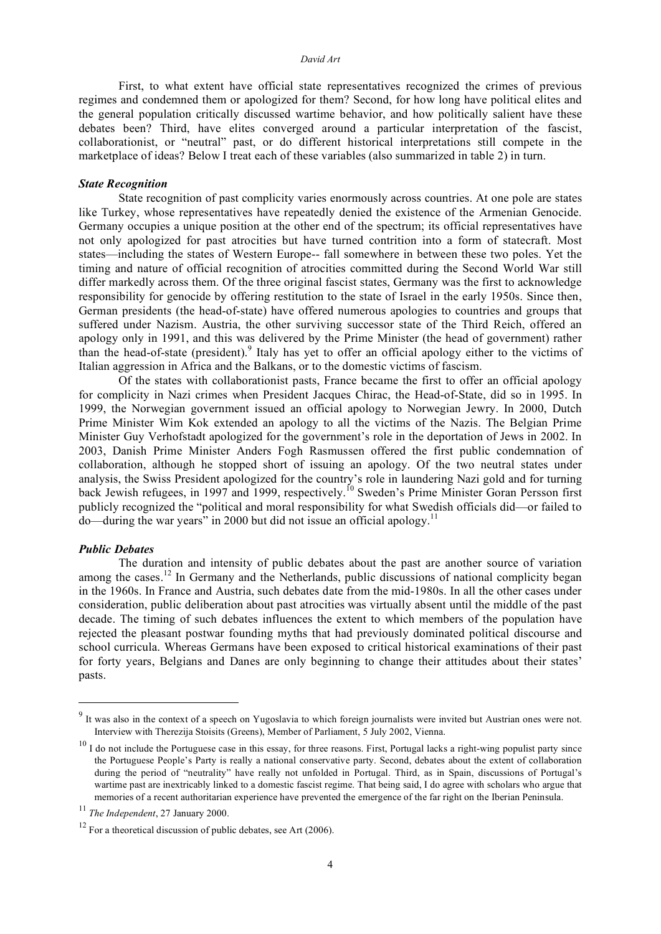#### *David Art*

First, to what extent have official state representatives recognized the crimes of previous regimes and condemned them or apologized for them? Second, for how long have political elites and the general population critically discussed wartime behavior, and how politically salient have these debates been? Third, have elites converged around a particular interpretation of the fascist, collaborationist, or "neutral" past, or do different historical interpretations still compete in the marketplace of ideas? Below I treat each of these variables (also summarized in table 2) in turn.

# *State Recognition*

State recognition of past complicity varies enormously across countries. At one pole are states like Turkey, whose representatives have repeatedly denied the existence of the Armenian Genocide. Germany occupies a unique position at the other end of the spectrum; its official representatives have not only apologized for past atrocities but have turned contrition into a form of statecraft. Most states—including the states of Western Europe-- fall somewhere in between these two poles. Yet the timing and nature of official recognition of atrocities committed during the Second World War still differ markedly across them. Of the three original fascist states, Germany was the first to acknowledge responsibility for genocide by offering restitution to the state of Israel in the early 1950s. Since then, German presidents (the head-of-state) have offered numerous apologies to countries and groups that suffered under Nazism. Austria, the other surviving successor state of the Third Reich, offered an apology only in 1991, and this was delivered by the Prime Minister (the head of government) rather than the head-of-state (president).<sup>9</sup> Italy has yet to offer an official apology either to the victims of Italian aggression in Africa and the Balkans, or to the domestic victims of fascism.

Of the states with collaborationist pasts, France became the first to offer an official apology for complicity in Nazi crimes when President Jacques Chirac, the Head-of-State, did so in 1995. In 1999, the Norwegian government issued an official apology to Norwegian Jewry. In 2000, Dutch Prime Minister Wim Kok extended an apology to all the victims of the Nazis. The Belgian Prime Minister Guy Verhofstadt apologized for the government's role in the deportation of Jews in 2002. In 2003, Danish Prime Minister Anders Fogh Rasmussen offered the first public condemnation of collaboration, although he stopped short of issuing an apology. Of the two neutral states under analysis, the Swiss President apologized for the country's role in laundering Nazi gold and for turning back Jewish refugees, in 1997 and 1999, respectively.<sup>10</sup> Sweden's Prime Minister Goran Persson first publicly recognized the "political and moral responsibility for what Swedish officials did—or failed to  $\alpha$ do—during the war years" in 2000 but did not issue an official apology.<sup>11</sup>

# *Public Debates*

The duration and intensity of public debates about the past are another source of variation among the cases.<sup>12</sup> In Germany and the Netherlands, public discussions of national complicity began in the 1960s. In France and Austria, such debates date from the mid-1980s. In all the other cases under consideration, public deliberation about past atrocities was virtually absent until the middle of the past decade. The timing of such debates influences the extent to which members of the population have rejected the pleasant postwar founding myths that had previously dominated political discourse and school curricula. Whereas Germans have been exposed to critical historical examinations of their past for forty years, Belgians and Danes are only beginning to change their attitudes about their states' pasts.

<sup>&</sup>lt;sup>9</sup> It was also in the context of a speech on Yugoslavia to which foreign journalists were invited but Austrian ones were not. Interview with Therezija Stoisits (Greens), Member of Parliament, 5 July 2002, Vienna.

 $10$  I do not include the Portuguese case in this essay, for three reasons. First, Portugal lacks a right-wing populist party since the Portuguese People's Party is really a national conservative party. Second, debates about the extent of collaboration during the period of "neutrality" have really not unfolded in Portugal. Third, as in Spain, discussions of Portugal's wartime past are inextricably linked to a domestic fascist regime. That being said, I do agree with scholars who argue that memories of a recent authoritarian experience have prevented the emergence of the far right on the Iberian Peninsula.

<sup>11</sup> *The Independent*, 27 January 2000.

 $12$  For a theoretical discussion of public debates, see Art (2006).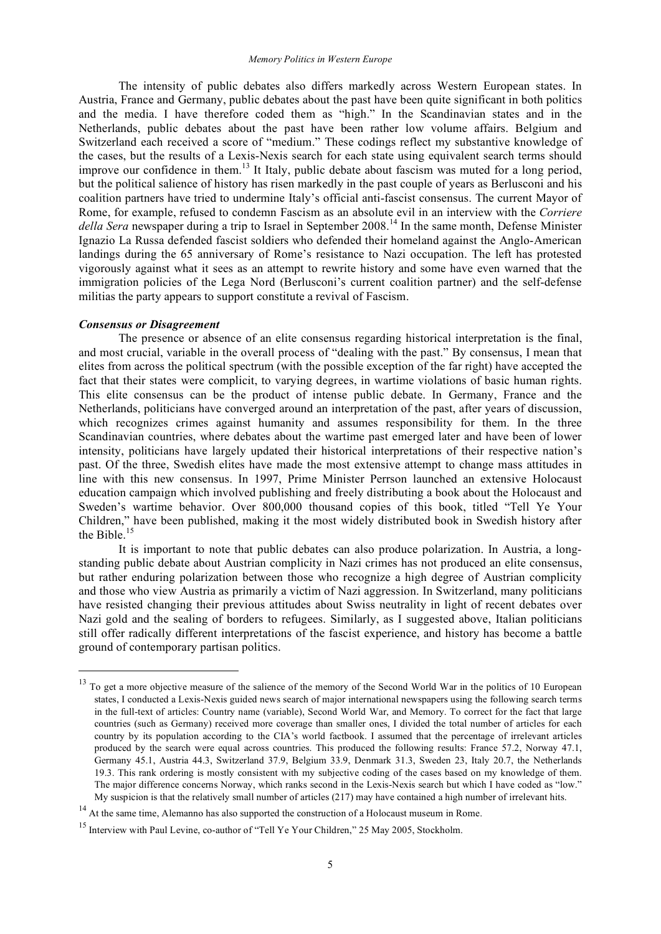The intensity of public debates also differs markedly across Western European states. In Austria, France and Germany, public debates about the past have been quite significant in both politics and the media. I have therefore coded them as "high." In the Scandinavian states and in the Netherlands, public debates about the past have been rather low volume affairs. Belgium and Switzerland each received a score of "medium." These codings reflect my substantive knowledge of the cases, but the results of a Lexis-Nexis search for each state using equivalent search terms should improve our confidence in them.<sup>13</sup> It Italy, public debate about fascism was muted for a long period, but the political salience of history has risen markedly in the past couple of years as Berlusconi and his coalition partners have tried to undermine Italy's official anti-fascist consensus. The current Mayor of Rome, for example, refused to condemn Fascism as an absolute evil in an interview with the *Corriere della Sera* newspaper during a trip to Israel in September 2008. <sup>14</sup> In the same month, Defense Minister Ignazio La Russa defended fascist soldiers who defended their homeland against the Anglo-American landings during the 65 anniversary of Rome's resistance to Nazi occupation. The left has protested vigorously against what it sees as an attempt to rewrite history and some have even warned that the immigration policies of the Lega Nord (Berlusconi's current coalition partner) and the self-defense militias the party appears to support constitute a revival of Fascism.

# *Consensus or Disagreement*

The presence or absence of an elite consensus regarding historical interpretation is the final, and most crucial, variable in the overall process of "dealing with the past." By consensus, I mean that elites from across the political spectrum (with the possible exception of the far right) have accepted the fact that their states were complicit, to varying degrees, in wartime violations of basic human rights. This elite consensus can be the product of intense public debate. In Germany, France and the Netherlands, politicians have converged around an interpretation of the past, after years of discussion, which recognizes crimes against humanity and assumes responsibility for them. In the three Scandinavian countries, where debates about the wartime past emerged later and have been of lower intensity, politicians have largely updated their historical interpretations of their respective nation's past. Of the three, Swedish elites have made the most extensive attempt to change mass attitudes in line with this new consensus. In 1997, Prime Minister Perrson launched an extensive Holocaust education campaign which involved publishing and freely distributing a book about the Holocaust and Sweden's wartime behavior. Over 800,000 thousand copies of this book, titled "Tell Ye Your Children," have been published, making it the most widely distributed book in Swedish history after the Bible.<sup>15</sup>

It is important to note that public debates can also produce polarization. In Austria, a longstanding public debate about Austrian complicity in Nazi crimes has not produced an elite consensus, but rather enduring polarization between those who recognize a high degree of Austrian complicity and those who view Austria as primarily a victim of Nazi aggression. In Switzerland, many politicians have resisted changing their previous attitudes about Swiss neutrality in light of recent debates over Nazi gold and the sealing of borders to refugees. Similarly, as I suggested above, Italian politicians still offer radically different interpretations of the fascist experience, and history has become a battle ground of contemporary partisan politics.

<sup>&</sup>lt;sup>13</sup> To get a more objective measure of the salience of the memory of the Second World War in the politics of 10 European states, I conducted a Lexis-Nexis guided news search of major international newspapers using the following search terms in the full-text of articles: Country name (variable), Second World War, and Memory. To correct for the fact that large countries (such as Germany) received more coverage than smaller ones, I divided the total number of articles for each country by its population according to the CIA's world factbook. I assumed that the percentage of irrelevant articles produced by the search were equal across countries. This produced the following results: France 57.2, Norway 47.1, Germany 45.1, Austria 44.3, Switzerland 37.9, Belgium 33.9, Denmark 31.3, Sweden 23, Italy 20.7, the Netherlands 19.3. This rank ordering is mostly consistent with my subjective coding of the cases based on my knowledge of them. The major difference concerns Norway, which ranks second in the Lexis-Nexis search but which I have coded as "low." My suspicion is that the relatively small number of articles (217) may have contained a high number of irrelevant hits.

<sup>&</sup>lt;sup>14</sup> At the same time, Alemanno has also supported the construction of a Holocaust museum in Rome.

<sup>15</sup> Interview with Paul Levine, co-author of "Tell Ye Your Children," 25 May 2005, Stockholm.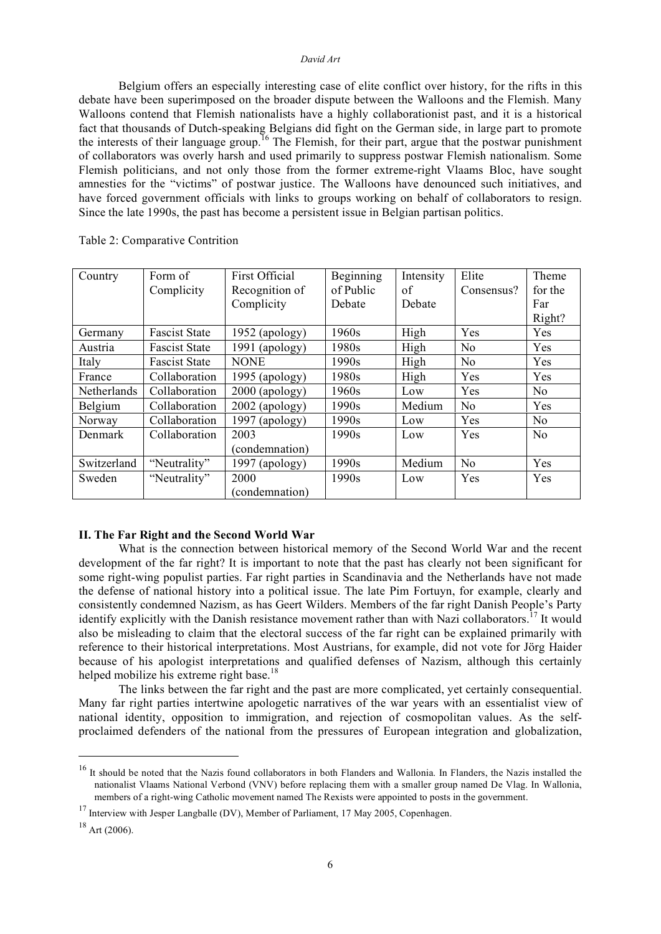#### *David Art*

Belgium offers an especially interesting case of elite conflict over history, for the rifts in this debate have been superimposed on the broader dispute between the Walloons and the Flemish. Many Walloons contend that Flemish nationalists have a highly collaborationist past, and it is a historical fact that thousands of Dutch-speaking Belgians did fight on the German side, in large part to promote the interests of their language group.<sup>16</sup> The Flemish, for their part, argue that the postwar punishment of collaborators was overly harsh and used primarily to suppress postwar Flemish nationalism. Some Flemish politicians, and not only those from the former extreme-right Vlaams Bloc, have sought amnesties for the "victims" of postwar justice. The Walloons have denounced such initiatives, and have forced government officials with links to groups working on behalf of collaborators to resign. Since the late 1990s, the past has become a persistent issue in Belgian partisan politics.

| Country     | Form of              | <b>First Official</b> | Beginning | Intensity | Elite          | Theme          |
|-------------|----------------------|-----------------------|-----------|-----------|----------------|----------------|
|             | Complicity           | Recognition of        | of Public | of        | Consensus?     | for the        |
|             |                      | Complicity            | Debate    | Debate    |                | Far            |
|             |                      |                       |           |           |                | Right?         |
| Germany     | <b>Fascist State</b> | $1952$ (apology)      | 1960s     | High      | Yes            | Yes            |
| Austria     | <b>Fascist State</b> | $1991$ (apology)      | 1980s     | High      | N <sub>0</sub> | Yes            |
| Italy       | <b>Fascist State</b> | <b>NONE</b>           | 1990s     | High      | No             | Yes            |
| France      | Collaboration        | 1995 (apology)        | 1980s     | High      | Yes            | Yes            |
| Netherlands | Collaboration        | $2000$ (apology)      | 1960s     | Low       | Yes            | N <sub>o</sub> |
| Belgium     | Collaboration        | $2002$ (apology)      | 1990s     | Medium    | N <sub>o</sub> | Yes            |
| Norway      | Collaboration        | $1997$ (apology)      | 1990s     | Low       | Yes            | N <sub>o</sub> |
| Denmark     | Collaboration        | 2003                  | 1990s     | Low       | Yes            | N <sub>o</sub> |
|             |                      | (condemnation)        |           |           |                |                |
| Switzerland | "Neutrality"         | $1997$ (apology)      | 1990s     | Medium    | N <sub>o</sub> | Yes            |
| Sweden      | "Neutrality"         | 2000                  | 1990s     | Low       | Yes            | Yes            |
|             |                      | (condemnation)        |           |           |                |                |

Table 2: Comparative Contrition

#### **II. The Far Right and the Second World War**

What is the connection between historical memory of the Second World War and the recent development of the far right? It is important to note that the past has clearly not been significant for some right-wing populist parties. Far right parties in Scandinavia and the Netherlands have not made the defense of national history into a political issue. The late Pim Fortuyn, for example, clearly and consistently condemned Nazism, as has Geert Wilders. Members of the far right Danish People's Party identify explicitly with the Danish resistance movement rather than with Nazi collaborators.<sup>17</sup> It would also be misleading to claim that the electoral success of the far right can be explained primarily with reference to their historical interpretations. Most Austrians, for example, did not vote for Jörg Haider because of his apologist interpretations and qualified defenses of Nazism, although this certainly helped mobilize his extreme right base.<sup>18</sup>

The links between the far right and the past are more complicated, yet certainly consequential. Many far right parties intertwine apologetic narratives of the war years with an essentialist view of national identity, opposition to immigration, and rejection of cosmopolitan values. As the selfproclaimed defenders of the national from the pressures of European integration and globalization,

<sup>&</sup>lt;sup>16</sup> It should be noted that the Nazis found collaborators in both Flanders and Wallonia. In Flanders, the Nazis installed the nationalist Vlaams National Verbond (VNV) before replacing them with a smaller group named De Vlag. In Wallonia, members of a right-wing Catholic movement named The Rexists were appointed to posts in the government.

<sup>&</sup>lt;sup>17</sup> Interview with Jesper Langballe (DV), Member of Parliament, 17 May 2005, Copenhagen.

 $18$  Art (2006).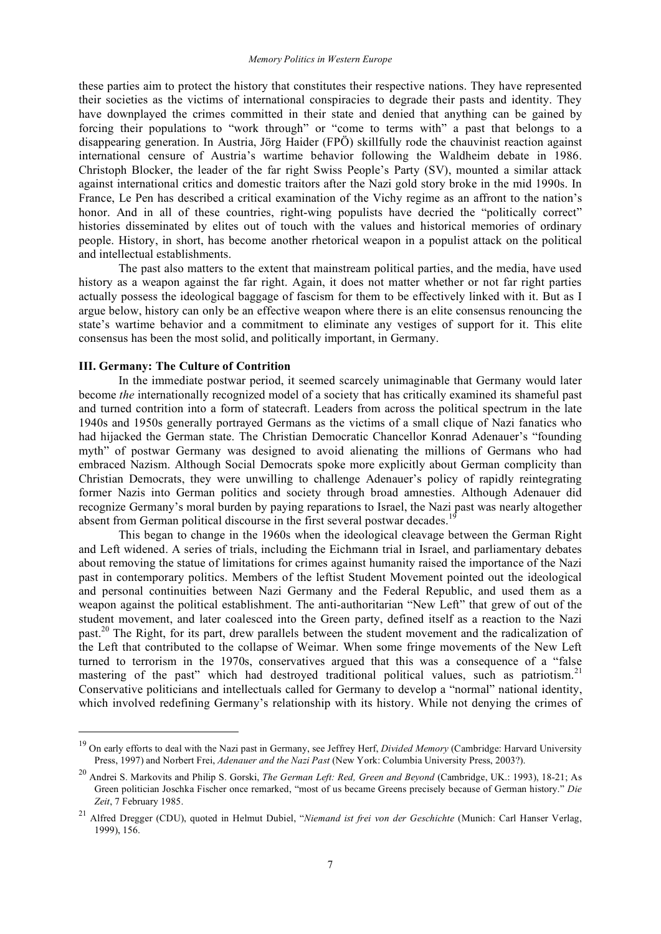these parties aim to protect the history that constitutes their respective nations. They have represented their societies as the victims of international conspiracies to degrade their pasts and identity. They have downplayed the crimes committed in their state and denied that anything can be gained by forcing their populations to "work through" or "come to terms with" a past that belongs to a disappearing generation. In Austria, Jörg Haider (FPÖ) skillfully rode the chauvinist reaction against international censure of Austria's wartime behavior following the Waldheim debate in 1986. Christoph Blocker, the leader of the far right Swiss People's Party (SV), mounted a similar attack against international critics and domestic traitors after the Nazi gold story broke in the mid 1990s. In France, Le Pen has described a critical examination of the Vichy regime as an affront to the nation's honor. And in all of these countries, right-wing populists have decried the "politically correct" histories disseminated by elites out of touch with the values and historical memories of ordinary people. History, in short, has become another rhetorical weapon in a populist attack on the political and intellectual establishments.

The past also matters to the extent that mainstream political parties, and the media, have used history as a weapon against the far right. Again, it does not matter whether or not far right parties actually possess the ideological baggage of fascism for them to be effectively linked with it. But as I argue below, history can only be an effective weapon where there is an elite consensus renouncing the state's wartime behavior and a commitment to eliminate any vestiges of support for it. This elite consensus has been the most solid, and politically important, in Germany.

## **III. Germany: The Culture of Contrition**

In the immediate postwar period, it seemed scarcely unimaginable that Germany would later become *the* internationally recognized model of a society that has critically examined its shameful past and turned contrition into a form of statecraft. Leaders from across the political spectrum in the late 1940s and 1950s generally portrayed Germans as the victims of a small clique of Nazi fanatics who had hijacked the German state. The Christian Democratic Chancellor Konrad Adenauer's "founding myth" of postwar Germany was designed to avoid alienating the millions of Germans who had embraced Nazism. Although Social Democrats spoke more explicitly about German complicity than Christian Democrats, they were unwilling to challenge Adenauer's policy of rapidly reintegrating former Nazis into German politics and society through broad amnesties. Although Adenauer did recognize Germany's moral burden by paying reparations to Israel, the Nazi past was nearly altogether absent from German political discourse in the first several postwar decades.<sup>19</sup>

This began to change in the 1960s when the ideological cleavage between the German Right and Left widened. A series of trials, including the Eichmann trial in Israel, and parliamentary debates about removing the statue of limitations for crimes against humanity raised the importance of the Nazi past in contemporary politics. Members of the leftist Student Movement pointed out the ideological and personal continuities between Nazi Germany and the Federal Republic, and used them as a weapon against the political establishment. The anti-authoritarian "New Left" that grew of out of the student movement, and later coalesced into the Green party, defined itself as a reaction to the Nazi past.<sup>20</sup> The Right, for its part, drew parallels between the student movement and the radicalization of the Left that contributed to the collapse of Weimar. When some fringe movements of the New Left turned to terrorism in the 1970s, conservatives argued that this was a consequence of a "false mastering of the past" which had destroyed traditional political values, such as patriotism.<sup>21</sup> Conservative politicians and intellectuals called for Germany to develop a "normal" national identity, which involved redefining Germany's relationship with its history. While not denying the crimes of

 <sup>19</sup> On early efforts to deal with the Nazi past in Germany, see Jeffrey Herf, *Divided Memory* (Cambridge: Harvard University Press, 1997) and Norbert Frei, *Adenauer and the Nazi Past* (New York: Columbia University Press, 2003?).

<sup>20</sup> Andrei S. Markovits and Philip S. Gorski, *The German Left: Red, Green and Beyond* (Cambridge, UK.: 1993), 18-21; As Green politician Joschka Fischer once remarked, "most of us became Greens precisely because of German history." *Die Zeit*, 7 February 1985.

<sup>21</sup> Alfred Dregger (CDU), quoted in Helmut Dubiel, "*Niemand ist frei von der Geschichte* (Munich: Carl Hanser Verlag, 1999), 156.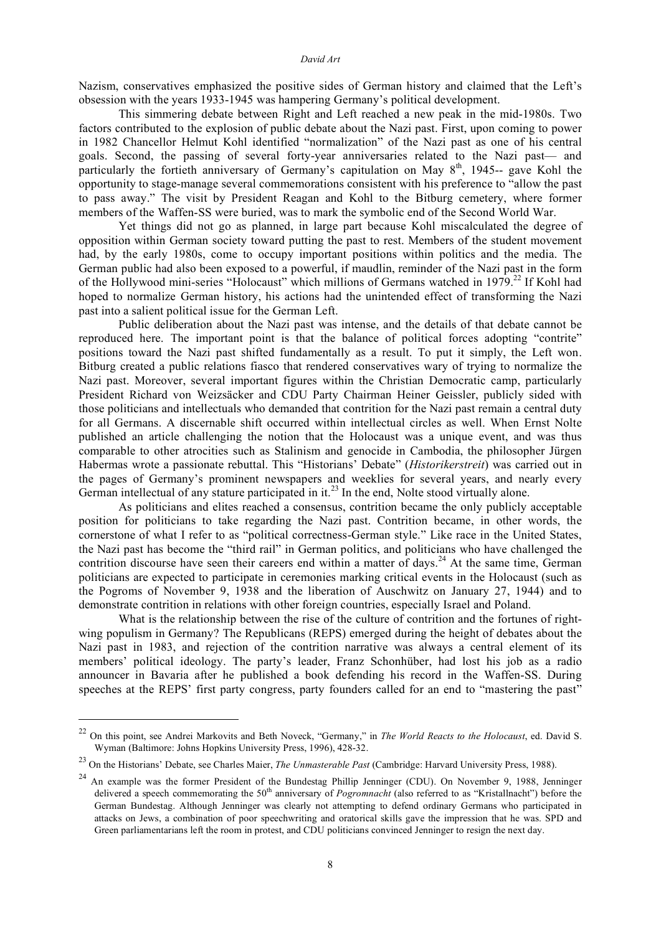#### *David Art*

Nazism, conservatives emphasized the positive sides of German history and claimed that the Left's obsession with the years 1933-1945 was hampering Germany's political development.

This simmering debate between Right and Left reached a new peak in the mid-1980s. Two factors contributed to the explosion of public debate about the Nazi past. First, upon coming to power in 1982 Chancellor Helmut Kohl identified "normalization" of the Nazi past as one of his central goals. Second, the passing of several forty-year anniversaries related to the Nazi past— and particularly the fortieth anniversary of Germany's capitulation on May 8<sup>th</sup>, 1945-- gave Kohl the opportunity to stage-manage several commemorations consistent with his preference to "allow the past to pass away." The visit by President Reagan and Kohl to the Bitburg cemetery, where former members of the Waffen-SS were buried, was to mark the symbolic end of the Second World War.

Yet things did not go as planned, in large part because Kohl miscalculated the degree of opposition within German society toward putting the past to rest. Members of the student movement had, by the early 1980s, come to occupy important positions within politics and the media. The German public had also been exposed to a powerful, if maudlin, reminder of the Nazi past in the form of the Hollywood mini-series "Holocaust" which millions of Germans watched in 1979.<sup>22</sup> If Kohl had hoped to normalize German history, his actions had the unintended effect of transforming the Nazi past into a salient political issue for the German Left.

Public deliberation about the Nazi past was intense, and the details of that debate cannot be reproduced here. The important point is that the balance of political forces adopting "contrite" positions toward the Nazi past shifted fundamentally as a result. To put it simply, the Left won. Bitburg created a public relations fiasco that rendered conservatives wary of trying to normalize the Nazi past. Moreover, several important figures within the Christian Democratic camp, particularly President Richard von Weizsäcker and CDU Party Chairman Heiner Geissler, publicly sided with those politicians and intellectuals who demanded that contrition for the Nazi past remain a central duty for all Germans. A discernable shift occurred within intellectual circles as well. When Ernst Nolte published an article challenging the notion that the Holocaust was a unique event, and was thus comparable to other atrocities such as Stalinism and genocide in Cambodia, the philosopher Jürgen Habermas wrote a passionate rebuttal. This "Historians' Debate" (*Historikerstreit*) was carried out in the pages of Germany's prominent newspapers and weeklies for several years, and nearly every German intellectual of any stature participated in it.<sup>23</sup> In the end, Nolte stood virtually alone.

As politicians and elites reached a consensus, contrition became the only publicly acceptable position for politicians to take regarding the Nazi past. Contrition became, in other words, the cornerstone of what I refer to as "political correctness-German style." Like race in the United States, the Nazi past has become the "third rail" in German politics, and politicians who have challenged the contrition discourse have seen their careers end within a matter of days.<sup>24</sup> At the same time, German politicians are expected to participate in ceremonies marking critical events in the Holocaust (such as the Pogroms of November 9, 1938 and the liberation of Auschwitz on January 27, 1944) and to demonstrate contrition in relations with other foreign countries, especially Israel and Poland.

What is the relationship between the rise of the culture of contrition and the fortunes of rightwing populism in Germany? The Republicans (REPS) emerged during the height of debates about the Nazi past in 1983, and rejection of the contrition narrative was always a central element of its members' political ideology. The party's leader, Franz Schonhüber, had lost his job as a radio announcer in Bavaria after he published a book defending his record in the Waffen-SS. During speeches at the REPS' first party congress, party founders called for an end to "mastering the past"

 <sup>22</sup> On this point, see Andrei Markovits and Beth Noveck, "Germany," in *The World Reacts to the Holocaust*, ed. David S. Wyman (Baltimore: Johns Hopkins University Press, 1996), 428-32.

<sup>23</sup> On the Historians' Debate, see Charles Maier, *The Unmasterable Past* (Cambridge: Harvard University Press, 1988).

<sup>&</sup>lt;sup>24</sup> An example was the former President of the Bundestag Phillip Jenninger (CDU). On November 9, 1988, Jenninger delivered a speech commemorating the 50<sup>th</sup> anniversary of *Pogromnacht* (also referred to as "Kristallnacht") before the German Bundestag. Although Jenninger was clearly not attempting to defend ordinary Germans who participated in attacks on Jews, a combination of poor speechwriting and oratorical skills gave the impression that he was. SPD and Green parliamentarians left the room in protest, and CDU politicians convinced Jenninger to resign the next day.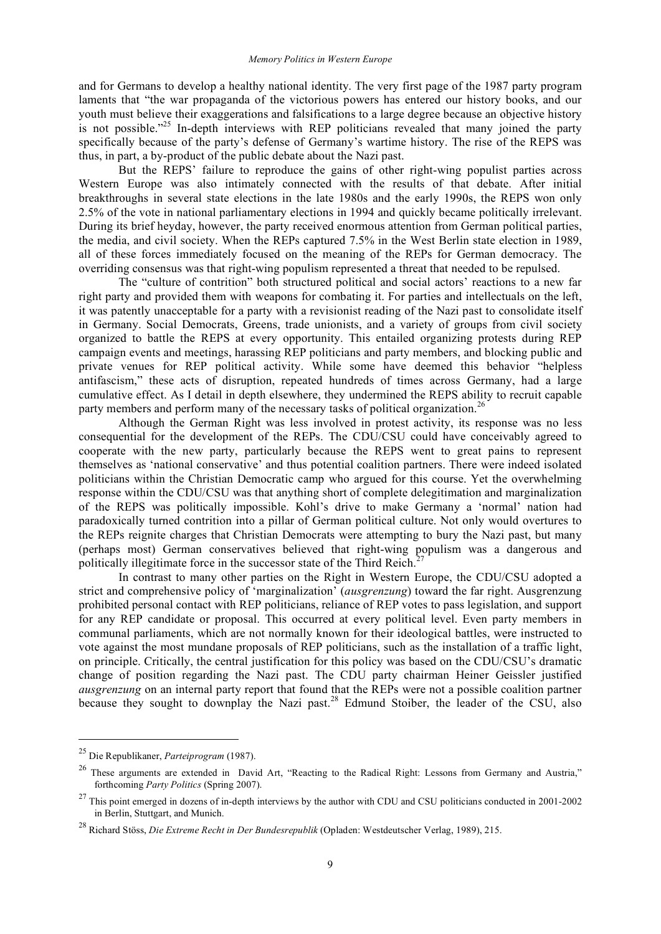and for Germans to develop a healthy national identity. The very first page of the 1987 party program laments that "the war propaganda of the victorious powers has entered our history books, and our youth must believe their exaggerations and falsifications to a large degree because an objective history is not possible."<sup>25</sup> In-depth interviews with REP politicians revealed that many joined the party specifically because of the party's defense of Germany's wartime history. The rise of the REPS was thus, in part, a by-product of the public debate about the Nazi past.

But the REPS' failure to reproduce the gains of other right-wing populist parties across Western Europe was also intimately connected with the results of that debate. After initial breakthroughs in several state elections in the late 1980s and the early 1990s, the REPS won only 2.5% of the vote in national parliamentary elections in 1994 and quickly became politically irrelevant. During its brief heyday, however, the party received enormous attention from German political parties, the media, and civil society. When the REPs captured 7.5% in the West Berlin state election in 1989, all of these forces immediately focused on the meaning of the REPs for German democracy. The overriding consensus was that right-wing populism represented a threat that needed to be repulsed.

The "culture of contrition" both structured political and social actors' reactions to a new far right party and provided them with weapons for combating it. For parties and intellectuals on the left, it was patently unacceptable for a party with a revisionist reading of the Nazi past to consolidate itself in Germany. Social Democrats, Greens, trade unionists, and a variety of groups from civil society organized to battle the REPS at every opportunity. This entailed organizing protests during REP campaign events and meetings, harassing REP politicians and party members, and blocking public and private venues for REP political activity. While some have deemed this behavior "helpless antifascism," these acts of disruption, repeated hundreds of times across Germany, had a large cumulative effect. As I detail in depth elsewhere, they undermined the REPS ability to recruit capable party members and perform many of the necessary tasks of political organization.<sup>26</sup>

Although the German Right was less involved in protest activity, its response was no less consequential for the development of the REPs. The CDU/CSU could have conceivably agreed to cooperate with the new party, particularly because the REPS went to great pains to represent themselves as 'national conservative' and thus potential coalition partners. There were indeed isolated politicians within the Christian Democratic camp who argued for this course. Yet the overwhelming response within the CDU/CSU was that anything short of complete delegitimation and marginalization of the REPS was politically impossible. Kohl's drive to make Germany a 'normal' nation had paradoxically turned contrition into a pillar of German political culture. Not only would overtures to the REPs reignite charges that Christian Democrats were attempting to bury the Nazi past, but many (perhaps most) German conservatives believed that right-wing populism was a dangerous and politically illegitimate force in the successor state of the Third Reich.<sup>27</sup>

In contrast to many other parties on the Right in Western Europe, the CDU/CSU adopted a strict and comprehensive policy of 'marginalization' (*ausgrenzung*) toward the far right. Ausgrenzung prohibited personal contact with REP politicians, reliance of REP votes to pass legislation, and support for any REP candidate or proposal. This occurred at every political level. Even party members in communal parliaments, which are not normally known for their ideological battles, were instructed to vote against the most mundane proposals of REP politicians, such as the installation of a traffic light, on principle. Critically, the central justification for this policy was based on the CDU/CSU's dramatic change of position regarding the Nazi past. The CDU party chairman Heiner Geissler justified *ausgrenzung* on an internal party report that found that the REPs were not a possible coalition partner because they sought to downplay the Nazi past.<sup>28</sup> Edmund Stoiber, the leader of the CSU, also

 <sup>25</sup> Die Republikaner, *Parteiprogram* (1987).

<sup>&</sup>lt;sup>26</sup> These arguments are extended in David Art, "Reacting to the Radical Right: Lessons from Germany and Austria," forthcoming *Party Politics* (Spring 2007).

 $27$  This point emerged in dozens of in-depth interviews by the author with CDU and CSU politicians conducted in 2001-2002 in Berlin, Stuttgart, and Munich.

<sup>28</sup> Richard Stöss, *Die Extreme Recht in Der Bundesrepublik* (Opladen: Westdeutscher Verlag, 1989), 215.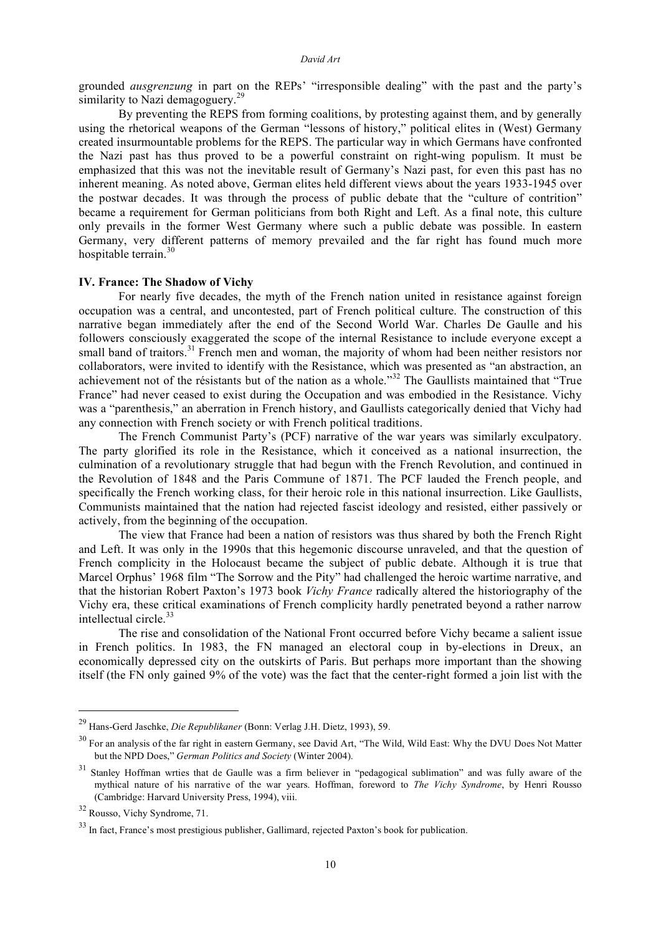grounded *ausgrenzung* in part on the REPs' "irresponsible dealing" with the past and the party's similarity to Nazi demagoguery.<sup>29</sup>

By preventing the REPS from forming coalitions, by protesting against them, and by generally using the rhetorical weapons of the German "lessons of history," political elites in (West) Germany created insurmountable problems for the REPS. The particular way in which Germans have confronted the Nazi past has thus proved to be a powerful constraint on right-wing populism. It must be emphasized that this was not the inevitable result of Germany's Nazi past, for even this past has no inherent meaning. As noted above, German elites held different views about the years 1933-1945 over the postwar decades. It was through the process of public debate that the "culture of contrition" became a requirement for German politicians from both Right and Left. As a final note, this culture only prevails in the former West Germany where such a public debate was possible. In eastern Germany, very different patterns of memory prevailed and the far right has found much more hospitable terrain. 30

#### **IV. France: The Shadow of Vichy**

For nearly five decades, the myth of the French nation united in resistance against foreign occupation was a central, and uncontested, part of French political culture. The construction of this narrative began immediately after the end of the Second World War. Charles De Gaulle and his followers consciously exaggerated the scope of the internal Resistance to include everyone except a small band of traitors.<sup>31</sup> French men and woman, the majority of whom had been neither resistors nor collaborators, were invited to identify with the Resistance, which was presented as "an abstraction, an achievement not of the résistants but of the nation as a whole."<sup>32</sup> The Gaullists maintained that "True France" had never ceased to exist during the Occupation and was embodied in the Resistance. Vichy was a "parenthesis," an aberration in French history, and Gaullists categorically denied that Vichy had any connection with French society or with French political traditions.

The French Communist Party's (PCF) narrative of the war years was similarly exculpatory. The party glorified its role in the Resistance, which it conceived as a national insurrection, the culmination of a revolutionary struggle that had begun with the French Revolution, and continued in the Revolution of 1848 and the Paris Commune of 1871. The PCF lauded the French people, and specifically the French working class, for their heroic role in this national insurrection. Like Gaullists, Communists maintained that the nation had rejected fascist ideology and resisted, either passively or actively, from the beginning of the occupation.

The view that France had been a nation of resistors was thus shared by both the French Right and Left. It was only in the 1990s that this hegemonic discourse unraveled, and that the question of French complicity in the Holocaust became the subject of public debate. Although it is true that Marcel Orphus' 1968 film "The Sorrow and the Pity" had challenged the heroic wartime narrative, and that the historian Robert Paxton's 1973 book *Vichy France* radically altered the historiography of the Vichy era, these critical examinations of French complicity hardly penetrated beyond a rather narrow intellectual circle.<sup>33</sup>

The rise and consolidation of the National Front occurred before Vichy became a salient issue in French politics. In 1983, the FN managed an electoral coup in by-elections in Dreux, an economically depressed city on the outskirts of Paris. But perhaps more important than the showing itself (the FN only gained 9% of the vote) was the fact that the center-right formed a join list with the

 <sup>29</sup> Hans-Gerd Jaschke, *Die Republikaner* (Bonn: Verlag J.H. Dietz, 1993), 59.

<sup>&</sup>lt;sup>30</sup> For an analysis of the far right in eastern Germany, see David Art, "The Wild, Wild East: Why the DVU Does Not Matter but the NPD Does," *German Politics and Society* (Winter 2004).

<sup>&</sup>lt;sup>31</sup> Stanley Hoffman wrties that de Gaulle was a firm believer in "pedagogical sublimation" and was fully aware of the mythical nature of his narrative of the war years. Hoffman, foreword to *The Vichy Syndrome*, by Henri Rousso (Cambridge: Harvard University Press, 1994), viii.

<sup>32</sup> Rousso, Vichy Syndrome, 71.

<sup>&</sup>lt;sup>33</sup> In fact, France's most prestigious publisher, Gallimard, rejected Paxton's book for publication.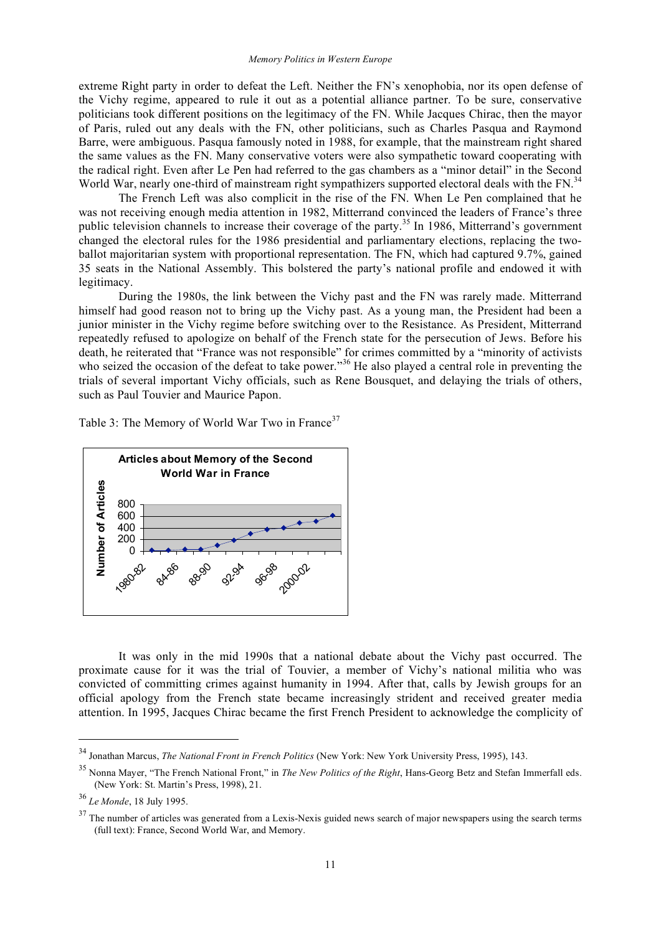extreme Right party in order to defeat the Left. Neither the FN's xenophobia, nor its open defense of the Vichy regime, appeared to rule it out as a potential alliance partner. To be sure, conservative politicians took different positions on the legitimacy of the FN. While Jacques Chirac, then the mayor of Paris, ruled out any deals with the FN, other politicians, such as Charles Pasqua and Raymond Barre, were ambiguous. Pasqua famously noted in 1988, for example, that the mainstream right shared the same values as the FN. Many conservative voters were also sympathetic toward cooperating with the radical right. Even after Le Pen had referred to the gas chambers as a "minor detail" in the Second World War, nearly one-third of mainstream right sympathizers supported electoral deals with the FN.<sup>34</sup>

The French Left was also complicit in the rise of the FN. When Le Pen complained that he was not receiving enough media attention in 1982, Mitterrand convinced the leaders of France's three public television channels to increase their coverage of the party.<sup>35</sup> In 1986, Mitterrand's government changed the electoral rules for the 1986 presidential and parliamentary elections, replacing the twoballot majoritarian system with proportional representation. The FN, which had captured 9.7%, gained 35 seats in the National Assembly. This bolstered the party's national profile and endowed it with legitimacy.

During the 1980s, the link between the Vichy past and the FN was rarely made. Mitterrand himself had good reason not to bring up the Vichy past. As a young man, the President had been a junior minister in the Vichy regime before switching over to the Resistance. As President, Mitterrand repeatedly refused to apologize on behalf of the French state for the persecution of Jews. Before his death, he reiterated that "France was not responsible" for crimes committed by a "minority of activists who seized the occasion of the defeat to take power."<sup>36</sup> He also played a central role in preventing the trials of several important Vichy officials, such as Rene Bousquet, and delaying the trials of others, such as Paul Touvier and Maurice Papon.

Table 3: The Memory of World War Two in France<sup>37</sup>



It was only in the mid 1990s that a national debate about the Vichy past occurred. The proximate cause for it was the trial of Touvier, a member of Vichy's national militia who was convicted of committing crimes against humanity in 1994. After that, calls by Jewish groups for an official apology from the French state became increasingly strident and received greater media attention. In 1995, Jacques Chirac became the first French President to acknowledge the complicity of

 <sup>34</sup> Jonathan Marcus, *The National Front in French Politics* (New York: New York University Press, 1995), 143.

<sup>35</sup> Nonna Mayer, "The French National Front," in *The New Politics of the Right*, Hans-Georg Betz and Stefan Immerfall eds. (New York: St. Martin's Press, 1998), 21.

<sup>36</sup> *Le Monde*, 18 July 1995.

 $37$  The number of articles was generated from a Lexis-Nexis guided news search of major newspapers using the search terms (full text): France, Second World War, and Memory.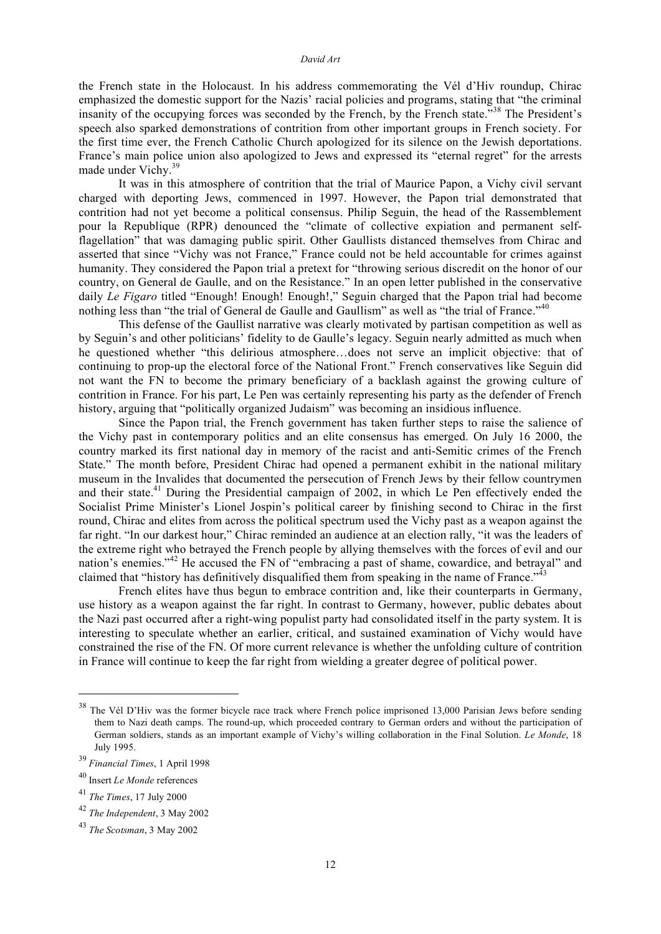the French state in the Holocaust. In his address commemorating the Vél d'Hiv roundup, Chirac emphasized the domestic support for the Nazis' racial policies and programs, stating that "the criminal insanity of the occupying forces was seconded by the French, by the French state."<sup>38</sup> The President's speech also sparked demonstrations of contrition from other important groups in French society. For the first time ever, the French Catholic Church apologized for its silence on the Jewish deportations. France's main police union also apologized to Jews and expressed its "eternal regret" for the arrests made under Vichy.<sup>39</sup>

It was in this atmosphere of contrition that the trial of Maurice Papon, a Vichy civil servant charged with deporting Jews, commenced in 1997. However, the Papon trial demonstrated that contrition had not yet become a political consensus. Philip Seguin, the head of the Rassemblement pour la Republique (RPR) denounced the "climate of collective expiation and permanent selfflagellation" that was damaging public spirit. Other Gaullists distanced themselves from Chirac and asserted that since "Vichy was not France," France could not be held accountable for crimes against humanity. They considered the Papon trial a pretext for "throwing serious discredit on the honor of our country, on General de Gaulle, and on the Resistance." In an open letter published in the conservative daily *Le Figaro* titled "Enough! Enough! Enough!," Seguin charged that the Papon trial had become nothing less than "the trial of General de Gaulle and Gaullism" as well as "the trial of France."<sup>40</sup>

This defense of the Gaullist narrative was clearly motivated by partisan competition as well as by Seguin's and other politicians' fidelity to de Gaulle's legacy. Seguin nearly admitted as much when he questioned whether "this delirious atmosphere…does not serve an implicit objective: that of continuing to prop-up the electoral force of the National Front." French conservatives like Seguin did not want the FN to become the primary beneficiary of a backlash against the growing culture of contrition in France. For his part, Le Pen was certainly representing his party as the defender of French history, arguing that "politically organized Judaism" was becoming an insidious influence.

Since the Papon trial, the French government has taken further steps to raise the salience of the Vichy past in contemporary politics and an elite consensus has emerged. On July 16 2000, the country marked its first national day in memory of the racist and anti-Semitic crimes of the French State." The month before, President Chirac had opened a permanent exhibit in the national military museum in the Invalides that documented the persecution of French Jews by their fellow countrymen and their state.<sup>41</sup> During the Presidential campaign of 2002, in which Le Pen effectively ended the Socialist Prime Minister's Lionel Jospin's political career by finishing second to Chirac in the first round, Chirac and elites from across the political spectrum used the Vichy past as a weapon against the far right. "In our darkest hour," Chirac reminded an audience at an election rally, "it was the leaders of the extreme right who betrayed the French people by allying themselves with the forces of evil and our nation's enemies."<sup>42</sup> He accused the FN of "embracing a past of shame, cowardice, and betrayal" and claimed that "history has definitively disqualified them from speaking in the name of France."<sup>43</sup>

French elites have thus begun to embrace contrition and, like their counterparts in Germany, use history as a weapon against the far right. In contrast to Germany, however, public debates about the Nazi past occurred after a right-wing populist party had consolidated itself in the party system. It is interesting to speculate whether an earlier, critical, and sustained examination of Vichy would have constrained the rise of the FN. Of more current relevance is whether the unfolding culture of contrition in France will continue to keep the far right from wielding a greater degree of political power.

<sup>&</sup>lt;sup>38</sup> The Vél D'Hiv was the former bicycle race track where French police imprisoned 13,000 Parisian Jews before sending them to Nazi death camps. The round-up, which proceeded contrary to German orders and without the participation of German soldiers, stands as an important example of Vichy's willing collaboration in the Final Solution. *Le Monde*, 18 July 1995.

<sup>39</sup> *Financial Times*, 1 April 1998

<sup>40</sup> Insert *Le Monde* references

<sup>41</sup> *The Times*, 17 July 2000

<sup>42</sup> *The Independent*, 3 May 2002

<sup>43</sup> *The Scotsman*, 3 May 2002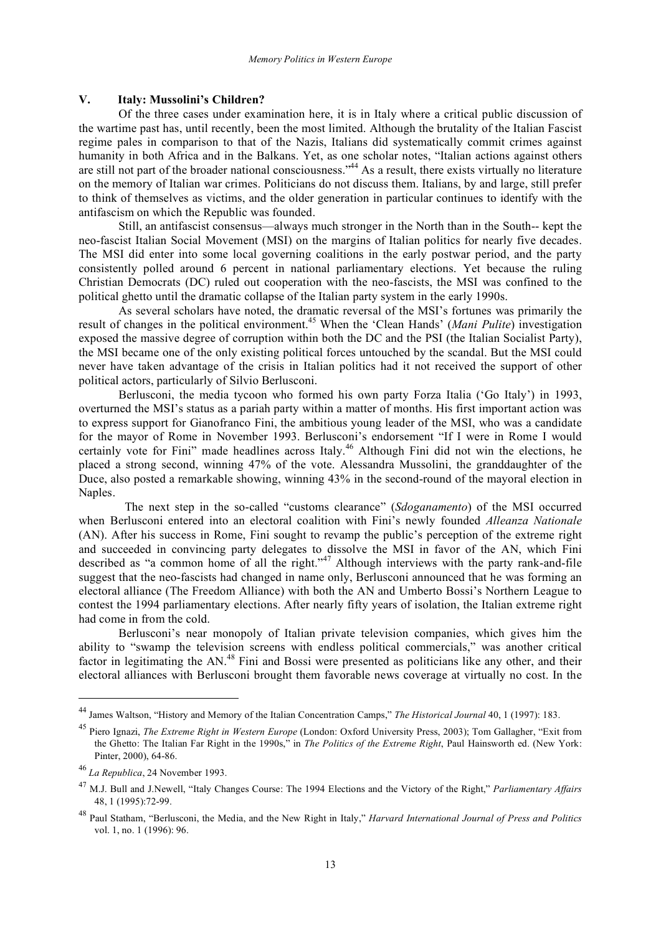## **V. Italy: Mussolini's Children?**

Of the three cases under examination here, it is in Italy where a critical public discussion of the wartime past has, until recently, been the most limited. Although the brutality of the Italian Fascist regime pales in comparison to that of the Nazis, Italians did systematically commit crimes against humanity in both Africa and in the Balkans. Yet, as one scholar notes, "Italian actions against others are still not part of the broader national consciousness."<sup>44</sup> As a result, there exists virtually no literature on the memory of Italian war crimes. Politicians do not discuss them. Italians, by and large, still prefer to think of themselves as victims, and the older generation in particular continues to identify with the antifascism on which the Republic was founded.

Still, an antifascist consensus—always much stronger in the North than in the South-- kept the neo-fascist Italian Social Movement (MSI) on the margins of Italian politics for nearly five decades. The MSI did enter into some local governing coalitions in the early postwar period, and the party consistently polled around 6 percent in national parliamentary elections. Yet because the ruling Christian Democrats (DC) ruled out cooperation with the neo-fascists, the MSI was confined to the political ghetto until the dramatic collapse of the Italian party system in the early 1990s.

As several scholars have noted, the dramatic reversal of the MSI's fortunes was primarily the result of changes in the political environment. <sup>45</sup> When the 'Clean Hands' (*Mani Pulite*) investigation exposed the massive degree of corruption within both the DC and the PSI (the Italian Socialist Party), the MSI became one of the only existing political forces untouched by the scandal. But the MSI could never have taken advantage of the crisis in Italian politics had it not received the support of other political actors, particularly of Silvio Berlusconi.

Berlusconi, the media tycoon who formed his own party Forza Italia ('Go Italy') in 1993, overturned the MSI's status as a pariah party within a matter of months. His first important action was to express support for Gianofranco Fini, the ambitious young leader of the MSI, who was a candidate for the mayor of Rome in November 1993. Berlusconi's endorsement "If I were in Rome I would certainly vote for Fini" made headlines across Italy.<sup>46</sup> Although Fini did not win the elections, he placed a strong second, winning 47% of the vote. Alessandra Mussolini, the granddaughter of the Duce, also posted a remarkable showing, winning 43% in the second-round of the mayoral election in Naples.

The next step in the so-called "customs clearance" (*Sdoganamento*) of the MSI occurred when Berlusconi entered into an electoral coalition with Fini's newly founded *Alleanza Nationale* (AN). After his success in Rome, Fini sought to revamp the public's perception of the extreme right and succeeded in convincing party delegates to dissolve the MSI in favor of the AN, which Fini described as "a common home of all the right."<sup>47</sup> Although interviews with the party rank-and-file suggest that the neo-fascists had changed in name only, Berlusconi announced that he was forming an electoral alliance (The Freedom Alliance) with both the AN and Umberto Bossi's Northern League to contest the 1994 parliamentary elections. After nearly fifty years of isolation, the Italian extreme right had come in from the cold.

Berlusconi's near monopoly of Italian private television companies, which gives him the ability to "swamp the television screens with endless political commercials," was another critical factor in legitimating the AN.<sup>48</sup> Fini and Bossi were presented as politicians like any other, and their electoral alliances with Berlusconi brought them favorable news coverage at virtually no cost. In the

 <sup>44</sup> James Waltson, "History and Memory of the Italian Concentration Camps," *The Historical Journal* 40, <sup>1</sup> (1997): 183.

<sup>45</sup> Piero Ignazi, *The Extreme Right in Western Europe* (London: Oxford University Press, 2003); Tom Gallagher, "Exit from the Ghetto: The Italian Far Right in the 1990s," in *The Politics of the Extreme Right*, Paul Hainsworth ed. (New York: Pinter, 2000), 64-86.

<sup>46</sup> *La Republica*, 24 November 1993.

<sup>47</sup> M.J. Bull and J.Newell, "Italy Changes Course: The 1994 Elections and the Victory of the Right," *Parliamentary Affairs* 48, 1 (1995):72-99.

<sup>48</sup> Paul Statham, "Berlusconi, the Media, and the New Right in Italy," *Harvard International Journal of Press and Politics* vol. 1, no. 1 (1996): 96.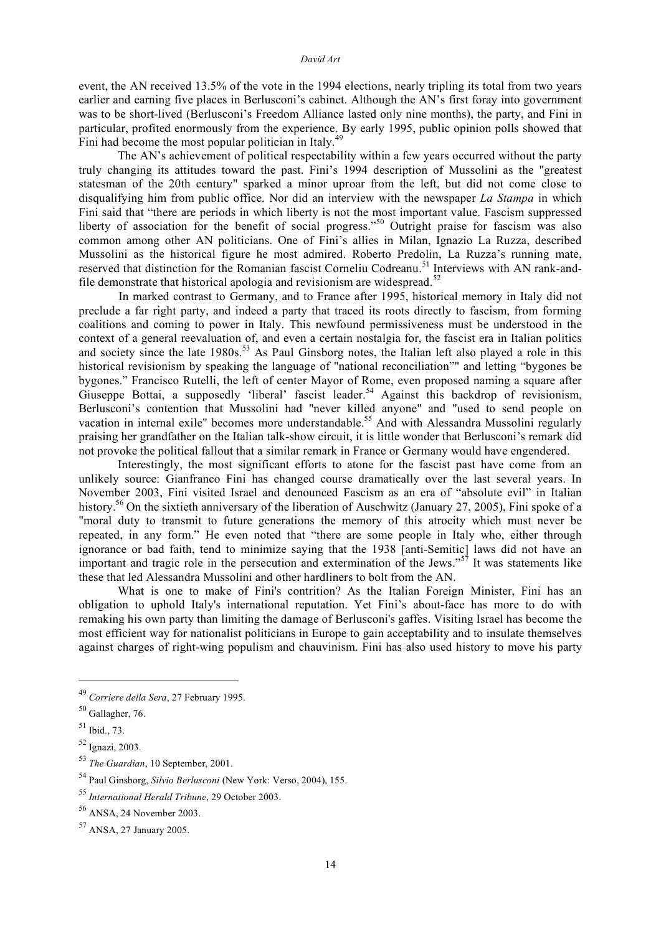event, the AN received 13.5% of the vote in the 1994 elections, nearly tripling its total from two years earlier and earning five places in Berlusconi's cabinet. Although the AN's first foray into government was to be short-lived (Berlusconi's Freedom Alliance lasted only nine months), the party, and Fini in particular, profited enormously from the experience. By early 1995, public opinion polls showed that Fini had become the most popular politician in Italy.<sup>49</sup>

The AN's achievement of political respectability within a few years occurred without the party truly changing its attitudes toward the past. Fini's 1994 description of Mussolini as the "greatest statesman of the 20th century" sparked a minor uproar from the left, but did not come close to disqualifying him from public office. Nor did an interview with the newspaper *La Stampa* in which Fini said that "there are periods in which liberty is not the most important value. Fascism suppressed liberty of association for the benefit of social progress."<sup>50</sup> Outright praise for fascism was also common among other AN politicians. One of Fini's allies in Milan, Ignazio La Ruzza, described Mussolini as the historical figure he most admired. Roberto Predolin, La Ruzza's running mate, reserved that distinction for the Romanian fascist Corneliu Codreanu.<sup>51</sup> Interviews with AN rank-andfile demonstrate that historical apologia and revisionism are widespread.<sup>52</sup>

In marked contrast to Germany, and to France after 1995, historical memory in Italy did not preclude a far right party, and indeed a party that traced its roots directly to fascism, from forming coalitions and coming to power in Italy. This newfound permissiveness must be understood in the context of a general reevaluation of, and even a certain nostalgia for, the fascist era in Italian politics and society since the late 1980s.<sup>53</sup> As Paul Ginsborg notes, the Italian left also played a role in this historical revisionism by speaking the language of "national reconciliation"" and letting "bygones be bygones." Francisco Rutelli, the left of center Mayor of Rome, even proposed naming a square after Giuseppe Bottai, a supposedly 'liberal' fascist leader.<sup>54</sup> Against this backdrop of revisionism, Berlusconi's contention that Mussolini had "never killed anyone" and "used to send people on vacation in internal exile" becomes more understandable.<sup>55</sup> And with Alessandra Mussolini regularly praising her grandfather on the Italian talk-show circuit, it is little wonder that Berlusconi's remark did not provoke the political fallout that a similar remark in France or Germany would have engendered.

Interestingly, the most significant efforts to atone for the fascist past have come from an unlikely source: Gianfranco Fini has changed course dramatically over the last several years. In November 2003, Fini visited Israel and denounced Fascism as an era of "absolute evil" in Italian history.<sup>56</sup> On the sixtieth anniversary of the liberation of Auschwitz (January 27, 2005), Fini spoke of a "moral duty to transmit to future generations the memory of this atrocity which must never be repeated, in any form." He even noted that "there are some people in Italy who, either through ignorance or bad faith, tend to minimize saying that the 1938 [anti-Semitic] laws did not have an important and tragic role in the persecution and extermination of the Jews."<sup>57</sup> It was statements like these that led Alessandra Mussolini and other hardliners to bolt from the AN.

What is one to make of Fini's contrition? As the Italian Foreign Minister, Fini has an obligation to uphold Italy's international reputation. Yet Fini's about-face has more to do with remaking his own party than limiting the damage of Berlusconi's gaffes. Visiting Israel has become the most efficient way for nationalist politicians in Europe to gain acceptability and to insulate themselves against charges of right-wing populism and chauvinism. Fini has also used history to move his party

 <sup>49</sup> *Corriere della Sera*, <sup>27</sup> February 1995.

<sup>50</sup> Gallagher, 76.

<sup>51</sup> Ibid., 73.

<sup>52</sup> Ignazi, 2003.

<sup>53</sup> *The Guardian*, 10 September, 2001.

<sup>54</sup> Paul Ginsborg, *Silvio Berlusconi* (New York: Verso, 2004), 155.

<sup>55</sup> *International Herald Tribune*, 29 October 2003.

<sup>56</sup> ANSA, 24 November 2003.

 $57$  ANSA, 27 January 2005.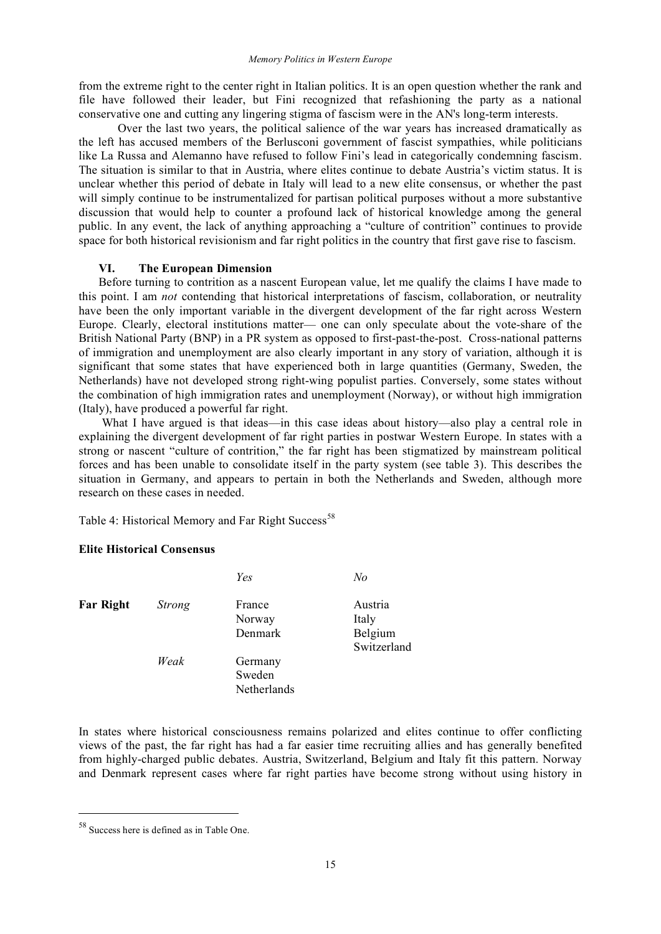#### *Memory Politics in Western Europe*

from the extreme right to the center right in Italian politics. It is an open question whether the rank and file have followed their leader, but Fini recognized that refashioning the party as a national conservative one and cutting any lingering stigma of fascism were in the AN's long-term interests.

Over the last two years, the political salience of the war years has increased dramatically as the left has accused members of the Berlusconi government of fascist sympathies, while politicians like La Russa and Alemanno have refused to follow Fini's lead in categorically condemning fascism. The situation is similar to that in Austria, where elites continue to debate Austria's victim status. It is unclear whether this period of debate in Italy will lead to a new elite consensus, or whether the past will simply continue to be instrumentalized for partisan political purposes without a more substantive discussion that would help to counter a profound lack of historical knowledge among the general public. In any event, the lack of anything approaching a "culture of contrition" continues to provide space for both historical revisionism and far right politics in the country that first gave rise to fascism.

# **VI. The European Dimension**

Before turning to contrition as a nascent European value, let me qualify the claims I have made to this point. I am *not* contending that historical interpretations of fascism, collaboration, or neutrality have been the only important variable in the divergent development of the far right across Western Europe. Clearly, electoral institutions matter— one can only speculate about the vote-share of the British National Party (BNP) in a PR system as opposed to first-past-the-post. Cross-national patterns of immigration and unemployment are also clearly important in any story of variation, although it is significant that some states that have experienced both in large quantities (Germany, Sweden, the Netherlands) have not developed strong right-wing populist parties. Conversely, some states without the combination of high immigration rates and unemployment (Norway), or without high immigration (Italy), have produced a powerful far right.

What I have argued is that ideas—in this case ideas about history—also play a central role in explaining the divergent development of far right parties in postwar Western Europe. In states with a strong or nascent "culture of contrition," the far right has been stigmatized by mainstream political forces and has been unable to consolidate itself in the party system (see table 3). This describes the situation in Germany, and appears to pertain in both the Netherlands and Sweden, although more research on these cases in needed.

Table 4: Historical Memory and Far Right Success<sup>58</sup>

# **Elite Historical Consensus**

|                  |        | Yes                              | No                          |
|------------------|--------|----------------------------------|-----------------------------|
| <b>Far Right</b> | Strong | France<br>Norway<br>Denmark      | Austria<br>Italy<br>Belgium |
|                  | Weak   | Germany<br>Sweden<br>Netherlands | Switzerland                 |

In states where historical consciousness remains polarized and elites continue to offer conflicting views of the past, the far right has had a far easier time recruiting allies and has generally benefited from highly-charged public debates. Austria, Switzerland, Belgium and Italy fit this pattern. Norway and Denmark represent cases where far right parties have become strong without using history in

 <sup>58</sup> Success here is defined as in Table One.